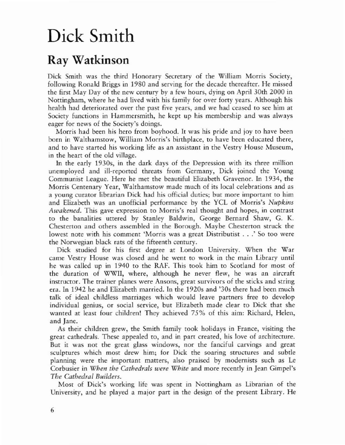## Dick Smith

## Ray Watkinson

Dick Smith was the third Honorary Secretary of the William Morris Society, following Ronald Briggs in 1980 and serving for the decade thereafter. He missed the first May Day of the new century by a few hours, dying on April 30th 2000 in Nottingham, where he had lived with his family for over forty years. Although his health had deteriorated over the past five years, and we had ceased to see him at Society functions in Hammersmith, he kept up his membership and was always eager for news of the Society's doings.

Morris had been his hero from boyhood. It was his pride and joy to have been born in Walrhamsrow, William Morris's birthplace, to have been educated there, and to have started his working life as an assistant in the Vestry House Museum, in the heart of the old village.

In the early 1930s, in the dark days of the Depression with its three million unemployed and ill-reported threats from Germany, Dick joined the Young Communist League. Here he met the beautiful Elizabeth Gravenor. In 1934, the Morris Centenary Year. Walthamscow made much of its local celebrations and as a young curator librarian Dick had his official duties; but more important to him and Elizabeth was an unofficial performance by the YCl of Morris's *Nupkins Awakened.* This gave expression to Morris's real thought and hopes. in contrast to the banalities uttered by Stanley Baldwin, George Bernard Shaw. G. K. Chesterton and others assembled in the Borough. Maybe Chesterron struck the lowest note with his comment'Morris was <sup>a</sup> great Distributist ...' So too were the Norwegian black rats of the fifteenth century.

Dick studied for his first degree at London University. When the War came Vestry House was closed and he went to work in the main Library until he was called up in 1940 to the RAF. This took him to Scotland for most of the duration of WWIl, where, although he never flew. he was an aircraft instructor. The trainer planes were Ansons, great survivors of the sticks and string era. In 1942 he and Elizabeth married. In the 1920s and '30s there had been much talk of ideal childless marriages which would leave partners free to develop individual genius, or social service, but Elizabeth made clear to Dick that she wanted at least four children! They achieved 75% of this aim: Richard. Helen, and Jane.

As their children grew, the Smith family rook holidays in France, visiting the great cathedrals. These appealed to, and in part created, his love of architecture. But it was not the great glass windows, nor the fanciful carvings and great sculptures which most drew him; for Dick the soaring structures and subtle planning were the important matters, also praised by modernists such as Le Corbusier in *When the Cathedrals were White* and more recently in Jean Gimpel's *The Cathedral Builders.*

Most of Dick's working life was spent in Nottingham as Librarian of the Universiry, and he played a major part in rhe design of the present Library. He